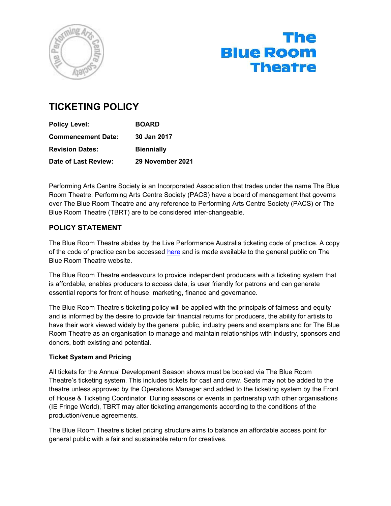

# The **Blue Room Theatre**

# TICKETING POLICY

| <b>Policy Level:</b>      | <b>BOARD</b>      |  |
|---------------------------|-------------------|--|
| <b>Commencement Date:</b> | 30 Jan 2017       |  |
| <b>Revision Dates:</b>    | <b>Biennially</b> |  |
| Date of Last Review:      | 29 November 2021  |  |

Performing Arts Centre Society is an Incorporated Association that trades under the name The Blue Room Theatre. Performing Arts Centre Society (PACS) have a board of management that governs over The Blue Room Theatre and any reference to Performing Arts Centre Society (PACS) or The Blue Room Theatre (TBRT) are to be considered inter-changeable.

# POLICY STATEMENT

The Blue Room Theatre abides by the Live Performance Australia ticketing code of practice. A copy of the code of practice can be accessed here and is made available to the general public on The Blue Room Theatre website.

The Blue Room Theatre endeavours to provide independent producers with a ticketing system that is affordable, enables producers to access data, is user friendly for patrons and can generate essential reports for front of house, marketing, finance and governance.

The Blue Room Theatre's ticketing policy will be applied with the principals of fairness and equity and is informed by the desire to provide fair financial returns for producers, the ability for artists to have their work viewed widely by the general public, industry peers and exemplars and for The Blue Room Theatre as an organisation to manage and maintain relationships with industry, sponsors and donors, both existing and potential.

# Ticket System and Pricing

All tickets for the Annual Development Season shows must be booked via The Blue Room Theatre's ticketing system. This includes tickets for cast and crew. Seats may not be added to the theatre unless approved by the Operations Manager and added to the ticketing system by the Front of House & Ticketing Coordinator. During seasons or events in partnership with other organisations (IE Fringe World), TBRT may alter ticketing arrangements according to the conditions of the production/venue agreements.

The Blue Room Theatre's ticket pricing structure aims to balance an affordable access point for general public with a fair and sustainable return for creatives.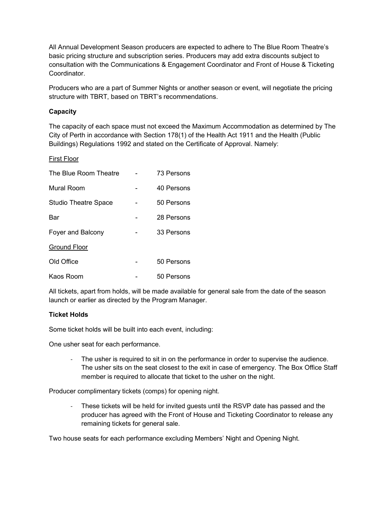All Annual Development Season producers are expected to adhere to The Blue Room Theatre's basic pricing structure and subscription series. Producers may add extra discounts subject to consultation with the Communications & Engagement Coordinator and Front of House & Ticketing Coordinator.

Producers who are a part of Summer Nights or another season or event, will negotiate the pricing structure with TBRT, based on TBRT's recommendations.

#### **Capacity**

The capacity of each space must not exceed the Maximum Accommodation as determined by The City of Perth in accordance with Section 178(1) of the Health Act 1911 and the Health (Public Buildings) Regulations 1992 and stated on the Certificate of Approval. Namely:

#### First Floor

| The Blue Room Theatre       | 73 Persons |
|-----------------------------|------------|
| Mural Room                  | 40 Persons |
| <b>Studio Theatre Space</b> | 50 Persons |
| Bar                         | 28 Persons |
| Foyer and Balcony           | 33 Persons |
| <b>Ground Floor</b>         |            |
| Old Office                  | 50 Persons |
| Kaos Room                   | 50 Persons |

All tickets, apart from holds, will be made available for general sale from the date of the season launch or earlier as directed by the Program Manager.

#### Ticket Holds

Some ticket holds will be built into each event, including:

One usher seat for each performance.

- The usher is required to sit in on the performance in order to supervise the audience. The usher sits on the seat closest to the exit in case of emergency. The Box Office Staff member is required to allocate that ticket to the usher on the night.

Producer complimentary tickets (comps) for opening night.

- These tickets will be held for invited guests until the RSVP date has passed and the producer has agreed with the Front of House and Ticketing Coordinator to release any remaining tickets for general sale.

Two house seats for each performance excluding Members' Night and Opening Night.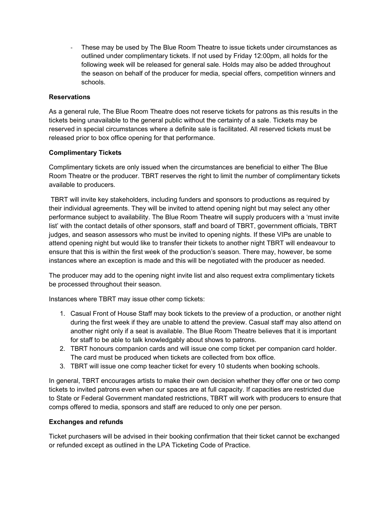These may be used by The Blue Room Theatre to issue tickets under circumstances as outlined under complimentary tickets. If not used by Friday 12:00pm, all holds for the following week will be released for general sale. Holds may also be added throughout the season on behalf of the producer for media, special offers, competition winners and schools.

### Reservations

As a general rule, The Blue Room Theatre does not reserve tickets for patrons as this results in the tickets being unavailable to the general public without the certainty of a sale. Tickets may be reserved in special circumstances where a definite sale is facilitated. All reserved tickets must be released prior to box office opening for that performance.

#### Complimentary Tickets

Complimentary tickets are only issued when the circumstances are beneficial to either The Blue Room Theatre or the producer. TBRT reserves the right to limit the number of complimentary tickets available to producers.

 TBRT will invite key stakeholders, including funders and sponsors to productions as required by their individual agreements. They will be invited to attend opening night but may select any other performance subject to availability. The Blue Room Theatre will supply producers with a 'must invite list' with the contact details of other sponsors, staff and board of TBRT, government officials, TBRT judges, and season assessors who must be invited to opening nights. If these VIPs are unable to attend opening night but would like to transfer their tickets to another night TBRT will endeavour to ensure that this is within the first week of the production's season. There may, however, be some instances where an exception is made and this will be negotiated with the producer as needed.

The producer may add to the opening night invite list and also request extra complimentary tickets be processed throughout their season.

Instances where TBRT may issue other comp tickets:

- 1. Casual Front of House Staff may book tickets to the preview of a production, or another night during the first week if they are unable to attend the preview. Casual staff may also attend on another night only if a seat is available. The Blue Room Theatre believes that it is important for staff to be able to talk knowledgably about shows to patrons.
- 2. TBRT honours companion cards and will issue one comp ticket per companion card holder. The card must be produced when tickets are collected from box office.
- 3. TBRT will issue one comp teacher ticket for every 10 students when booking schools.

In general, TBRT encourages artists to make their own decision whether they offer one or two comp tickets to invited patrons even when our spaces are at full capacity. If capacities are restricted due to State or Federal Government mandated restrictions, TBRT will work with producers to ensure that comps offered to media, sponsors and staff are reduced to only one per person.

#### Exchanges and refunds

Ticket purchasers will be advised in their booking confirmation that their ticket cannot be exchanged or refunded except as outlined in the LPA Ticketing Code of Practice.